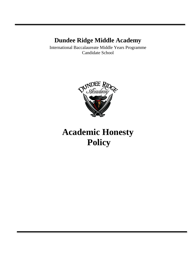# **Dundee Ridge Middle Academy**

International Baccalaureate Middle Years Programme Candidate School



# **Academic Honesty Policy**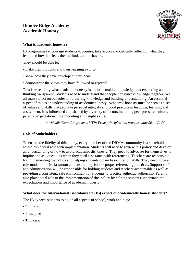# **Dundee Ridge Academy Academic Honesty**



# **What is academic honesty?**

IB programmes encourage students to inquire, take action and critically reflect on what they learn and how it affects their attitudes and behavior.

They should be able to:

- make their thoughts and their learning explicit
- show how they have developed their ideas
- demonstrate the views they have followed or rejected.

This is essentially what academic honesty is about— making knowledge, understanding and thinking transparent. Students need to understand that people construct knowledge together. We all must reflect on our roles in furthering knowledge and building understanding. An essential aspect of this is an understanding of academic honesty. Academic honesty must be seen as a set of values and skills that promote personal integrity and good practice in teaching, learning and assessment. It is influenced and shaped by a variety of factors including peer pressure, culture, parental expectations, role modeling and taught skills.

*\* \*Middle Years Programme. MYP: From principles into practice. May 2014. P. 76.*

# **Role of Stakeholders**

To ensure the fidelity of this policy, every member of the DRMA community is a stakeholder who plays a vital role with implementation. Students will need to review this policy and develop an understanding of how to avoid academic dishonesty. They need to advocate for themselves to inquire and ask questions when they need assistance with referencing. Teachers are responsible for implementing the policy and helping students obtain basic citation skills. They need to be a role model in their classroom and ensure they follow proper referencing practices. Support staff and administration will be responsible for holding students and teachers accountable as well as providing a consistent, safe environment for students to practice authentic authorship. Parents also play a vital role in the implementation of this policy by helping students understand the expectations and importance of academic honesty.

# **What does the International Baccalaureate (IB) expect of academically honest students?**

The IB expects students to be, in all aspects of school, work and play:

- Inquirers
- Principled
- Thinkers.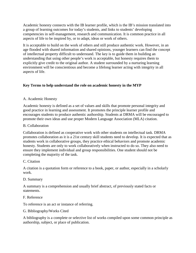Academic honesty connects with the IB learner profile, which is the IB's mission translated into a group of learning outcomes for today's students, and links to students' developing competencies in self-management, research and communication. It is common practice in all aspects of life to be inspired by, or to adapt, ideas or work of others.

It is acceptable to build on the work of others and still produce authentic work. However, in an age flooded with shared information and shared opinions, younger learners can find the concept of intellectual property difficult to understand. The key is to guide them in building an understanding that using other people's work is acceptable, but honesty requires them to explicitly give credit to the original author. A student surrounded by a nurturing learning environment will be conscientious and become a lifelong learner acting with integrity in all aspects of life.

# **Key Terms to help understand the role on academic honesty in the MYP**

# A. Academic Honesty

Academic honesty is defined as a set of values and skills that promote personal integrity and good practice in learning and assessment. It promotes the principle learner profile and encourages students to produce authentic authorship. Students at DRMA will be encouraged to promote their own ideas and use proper Modern Language Association (MLA) citation.

# B. Collaboration

Collaboration is defined as cooperative work with other students on intellectual task. DRMA promotes collaboration as it is a 21st century skill students need to develop. It is expected that as students work in collaborative groups, they practice ethical behaviors and promote academic honesty. Students are only to work collaboratively when instructed to do so. They also need to ensure they implement individual and group responsibilities. One student should not be completing the majority of the task.

# C. Citation

A citation is a quotation form or reference to a book, paper, or author, especially in a scholarly work.

# D. Summary

A summary is a comprehension and usually brief abstract, of previously stated facts or statements.

# F. Reference

To reference is an act or instance of referring.

# G. Bibliography/Works Cited

A bibliography is a complete or selective list of works compiled upon some common principle as authorship, subject, or place of publication.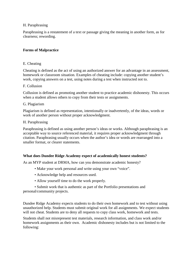#### H. Paraphrasing

Paraphrasing is a restatement of a text or passage giving the meaning in another form, as for clearness; rewording.

# **Forms of Malpractice**

#### E. Cheating

Cheating is defined as the act of using an authorized answer for an advantage in an assessment, homework or classroom situation. Examples of cheating include: copying another student's work, copying answers on a test, using notes during a test when instructed not to.

#### F. Collusion

Collusion is defined as promoting another student to practice academic dishonesty. This occurs when a student allows others to copy from their tests or assignments.

#### G. Plagiarism

Plagiarism is defined as representation, intentionally or inadvertently, of the ideas, words or work of another person without proper acknowledgment.

#### H. Paraphrasing

Paraphrasing is defined as using another person's ideas or works. Although paraphrasing is an acceptable way to source referenced material, it requires proper acknowledgment through citation. Paraphrasing usually occurs when the author's idea or words are rearranged into a smaller format, or clearer statements.

# **What does Dundee Ridge Academy expect of academically honest students?**

As an MYP student at DRMA, how can you demonstrate academic honesty?

- Make your work personal and write using your own "voice".
- Acknowledge help and resources used.
- Allow yourself time to do the work properly.

• Submit work that is authentic as part of the Portfolio presentations and personal/community projects.

Dundee Ridge Academy expects students to do their own homework and to test without using unauthorized help. Students must submit original work for all assignments. We expect students will not cheat. Students are to deny all requests to copy class work, homework and tests.

Students shall not misrepresent test materials, research information, and class work and/or homework assignments as their own. Academic dishonesty includes but is not limited to the following: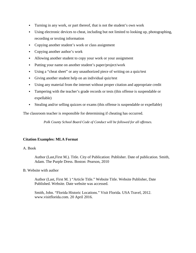- Turning in any work, or part thereof, that is not the student's own work
- Using electronic devices to cheat, including but not limited to looking up, photographing, recording or texting information
- Copying another student's work or class assignment
- Copying another author's work
- Allowing another student to copy your work or your assignment
- Putting your name on another student's paper/project/work
- Using a "cheat sheet" or any unauthorized piece of writing on a quiz/test
- Giving another student help on an individual quiz/test
- Using any material from the internet without proper citation and appropriate credit
- Tampering with the teacher's grade records or tests (this offense is suspendable or expellable)
- Stealing and/or selling quizzes or exams (this offense is suspendable or expellable)

The classroom teacher is responsible for determining if cheating has occurred.

*Polk County School Board Code of Conduct will be followed for all offenses.*

#### **Citation Examples: MLA Format**

#### A. Book

Author (Last,First M.). Title. City of Publication: Publisher. Date of publication. Smith, Adam. The Purple Dress. Boston: Pearson, 2010

#### B. Website with author

Author (Last, First M. ) "Article Title." Website Title. Website Publisher, Date Published. Website. Date website was accessed.

Smith, John. "Florida Historic Locations." Visit Florida. USA Travel, 2012. www.visitflorida.com. 20 April 2016.